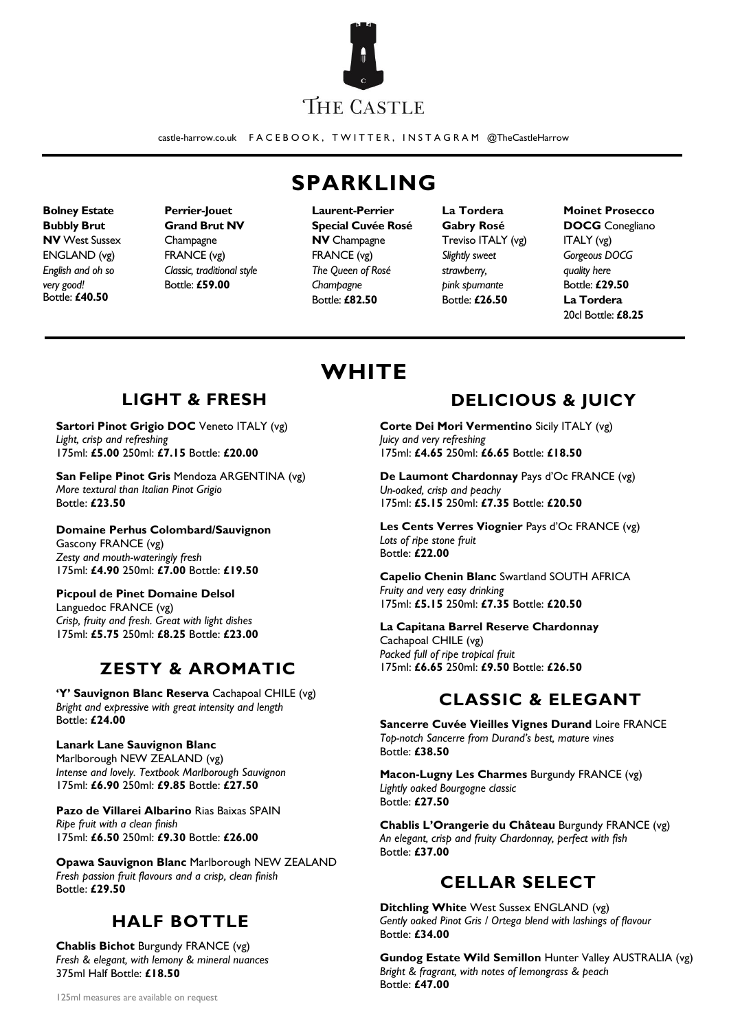

castle-harrow.co.uk F A C E B O O K , T W I T T E R , I N S T A G R A M @TheCastleHarrow

**Bolney Estate Bubbly Brut NV** West Sussex ENGLAND (vg) *English and oh so very good!* Bottle: **£40.50**

**Perrier-Jouet Grand Brut NV Champagne** FRANCE (vg) *Classic, traditional style* Bottle: **£59.00**

# **SPARKLING**

**Laurent-Perrier Special Cuvée Rosé NV** Champagne FRANCE (vg) *The Queen of Rosé Champagne* Bottle: **£82.50**

**WHITE**

**La Tordera Gabry Rosé**  Treviso ITALY (vg) *Slightly sweet strawberry, pink spumante* Bottle: **£26.50**

**Moinet Prosecco DOCG** Conegliano ITALY (vg) *Gorgeous DOCG quality here* Bottle: **£29.50 La Tordera**  20cl Bottle: **£8.25**

# **LIGHT & FRESH**

**Sartori Pinot Grigio DOC** Veneto ITALY (vg) *Light, crisp and refreshing* 175ml: **£5.00** 250ml: **£7.15** Bottle: **£20.00**

**San Felipe Pinot Gris** Mendoza ARGENTINA (vg) *More textural than Italian Pinot Grigio* Bottle: **£23.50**

**Domaine Perhus Colombard/Sauvignon** Gascony FRANCE (vg) *Zesty and mouth-wateringly fresh* 175ml: **£4.90** 250ml: **£7.00** Bottle: **£19.50**

**Picpoul de Pinet Domaine Delsol** Languedoc FRANCE (vg) *Crisp, fruity and fresh. Great with light dishes*  175ml: **£5.75** 250ml: **£8.25** Bottle: **£23.00**

## **ZESTY & AROMATIC**

**'Y' Sauvignon Blanc Reserva** Cachapoal CHILE (vg) *Bright and expressive with great intensity and length* Bottle: **£24.00**

#### **Lanark Lane Sauvignon Blanc**

Marlborough NEW ZEALAND (vg) *Intense and lovely. Textbook Marlborough Sauvignon* 175ml: **£6.90** 250ml: **£9.85** Bottle: **£27.50**

**Pazo de Villarei Albarino** Rias Baixas SPAIN *Ripe fruit with a clean finish* 175ml: **£6.50** 250ml: **£9.30** Bottle: **£26.00**

**Opawa Sauvignon Blanc** Marlborough NEW ZEALAND *Fresh passion fruit flavours and a crisp, clean finish* Bottle: **£29.50**

## **HALF BOTTLE**

**Chablis Bichot** Burgundy FRANCE (vg) *Fresh & elegant, with lemony & mineral nuances* 375ml Half Bottle: **£18.50**

# **DELICIOUS & JUICY**

**Corte Dei Mori Vermentino** Sicily ITALY (vg) *Juicy and very refreshing* 175ml: **£4.65** 250ml: **£6.65** Bottle: **£18.50**

**De Laumont Chardonnay** Pays d'Oc FRANCE (vg) *Un-oaked, crisp and peachy* 175ml: **£5.15** 250ml: **£7.35** Bottle: **£20.50**

**Les Cents Verres Viognier** Pays d'Oc FRANCE (vg) *Lots of ripe stone fruit* Bottle: **£22.00**

**Capelio Chenin Blanc** Swartland SOUTH AFRICA *Fruity and very easy drinking* 175ml: **£5.15** 250ml: **£7.35** Bottle: **£20.50**

**La Capitana Barrel Reserve Chardonnay**

Cachapoal CHILE (vg) *Packed full of ripe tropical fruit* 175ml: **£6.65** 250ml: **£9.50** Bottle: **£26.50**

# **CLASSIC & ELEGANT**

**Sancerre Cuvée Vieilles Vignes Durand** Loire FRANCE *Top-notch Sancerre from Durand's best, mature vines* Bottle: **£38.50**

**Macon-Lugny Les Charmes** Burgundy FRANCE (vg) *Lightly oaked Bourgogne classic* Bottle: **£27.50**

**Chablis L'Orangerie du Château** Burgundy FRANCE (vg) *An elegant, crisp and fruity Chardonnay, perfect with fish* Bottle: **£37.00**

# **CELLAR SELECT**

**Ditchling White** West Sussex ENGLAND (vg) *Gently oaked Pinot Gris / Ortega blend with lashings of flavour* Bottle: **£34.00**

**Gundog Estate Wild Semillon** Hunter Valley AUSTRALIA (vg) *Bright & fragrant, with notes of lemongrass & peach* Bottle: **£47.00**